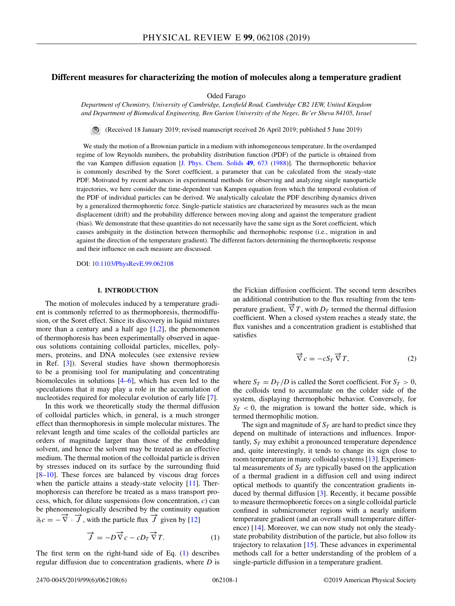# <span id="page-0-0"></span>**Different measures for characterizing the motion of molecules along a temperature gradient**

Oded Farago

*Department of Chemistry, University of Cambridge, Lensfield Road, Cambridge CB2 1EW, United Kingdom and Department of Biomedical Engineering, Ben Gurion University of the Negev, Be'er Sheva 84105, Israel*

(Received 18 January 2019; revised manuscript received 26 April 2019; published 5 June 2019)

We study the motion of a Brownian particle in a medium with inhomogeneous temperature. In the overdamped regime of low Reynolds numbers, the probability distribution function (PDF) of the particle is obtained from the van Kampen diffusion equation [\[J. Phys. Chem. Solids](https://doi.org/10.1016/0022-3697(88)90199-0) **[49](https://doi.org/10.1016/0022-3697(88)90199-0)**, [673](https://doi.org/10.1016/0022-3697(88)90199-0) [\(1988\)](https://doi.org/10.1016/0022-3697(88)90199-0)]. The thermophoretic behavior is commonly described by the Soret coefficient, a parameter that can be calculated from the steady-state PDF. Motivated by recent advances in experimental methods for observing and analyzing single nanoparticle trajectories, we here consider the time-dependent van Kampen equation from which the temporal evolution of the PDF of individual particles can be derived. We analytically calculate the PDF describing dynamics driven by a generalized thermophoretic force. Single-particle statistics are characterized by measures such as the mean displacement (drift) and the probability difference between moving along and against the temperature gradient (bias). We demonstrate that these quantities do not necessarily have the same sign as the Soret coefficient, which causes ambiguity in the distinction between thermophilic and thermophobic response (i.e., migration in and against the direction of the temperature gradient). The different factors determining the thermophoretic response and their influence on each measure are discussed.

DOI: [10.1103/PhysRevE.99.062108](https://doi.org/10.1103/PhysRevE.99.062108)

### **I. INTRODUCTION**

The motion of molecules induced by a temperature gradient is commonly referred to as thermophoresis, thermodiffusion, or the Soret effect. Since its discovery in liquid mixtures more than a century and a half ago  $[1,2]$ , the phenomenon of thermophoresis has been experimentally observed in aqueous solutions containing colloidal particles, micelles, polymers, proteins, and DNA molecules (see extensive review in Ref. [\[3\]](#page-5-0)). Several studies have shown thermophoresis to be a promising tool for manipulating and concentrating biomolecules in solutions  $[4–6]$ , which has even led to the speculations that it may play a role in the accumulation of nucleotides required for molecular evolution of early life [\[7\]](#page-5-0).

In this work we theoretically study the thermal diffusion of colloidal particles which, in general, is a much stronger effect than thermophoresis in simple molecular mixtures. The relevant length and time scales of the colloidal particles are orders of magnitude larger than those of the embedding solvent, and hence the solvent may be treated as an effective medium. The thermal motion of the colloidal particle is driven by stresses induced on its surface by the surrounding fluid  $[8-10]$ . These forces are balanced by viscous drag forces when the particle attains a steady-state velocity [\[11\]](#page-5-0). Thermophoresis can therefore be treated as a mass transport process, which, for dilute suspensions (low concentration, *c*) can be phenomenologically described by the continuity equation  $\partial_t c = -\vec{\nabla} \cdot \vec{J}$ , with the particle flux  $\vec{J}$  given by [\[12\]](#page-5-0)

$$
\overrightarrow{f} = -D\overrightarrow{\nabla}c - cD_T\overrightarrow{\nabla}T.
$$
 (1)

The first term on the right-hand side of Eq. (1) describes regular diffusion due to concentration gradients, where *D* is the Fickian diffusion coefficient. The second term describes an additional contribution to the flux resulting from the temperature gradient,  $\vec{\nabla} T$ , with  $D_T$  termed the thermal diffusion coefficient. When a closed system reaches a steady state, the flux vanishes and a concentration gradient is established that satisfies

$$
\overrightarrow{\nabla} c = -cS_T \overrightarrow{\nabla} T,\tag{2}
$$

where  $S_T = D_T/D$  is called the Soret coefficient. For  $S_T > 0$ , the colloids tend to accumulate on the colder side of the system, displaying thermophobic behavior. Conversely, for  $S_T < 0$ , the migration is toward the hotter side, which is termed thermophilic motion.

The sign and magnitude of  $S_T$  are hard to predict since they depend on multitude of interactions and influences. Importantly,  $S_T$  may exhibit a pronounced temperature dependence and, quite interestingly, it tends to change its sign close to room temperature in many colloidal systems [\[13\]](#page-5-0). Experimental measurements of  $S_T$  are typically based on the application of a thermal gradient in a diffusion cell and using indirect optical methods to quantify the concentration gradients induced by thermal diffusion [\[3\]](#page-5-0). Recently, it became possible to measure thermophoretic forces on a single colloidal particle confined in submicrometer regions with a nearly uniform temperature gradient (and an overall small temperature difference) [\[14\]](#page-5-0). Moreover, we can now study not only the steadystate probability distribution of the particle, but also follow its trajectory to relaxation  $[15]$ . These advances in experimental methods call for a better understanding of the problem of a single-particle diffusion in a temperature gradient.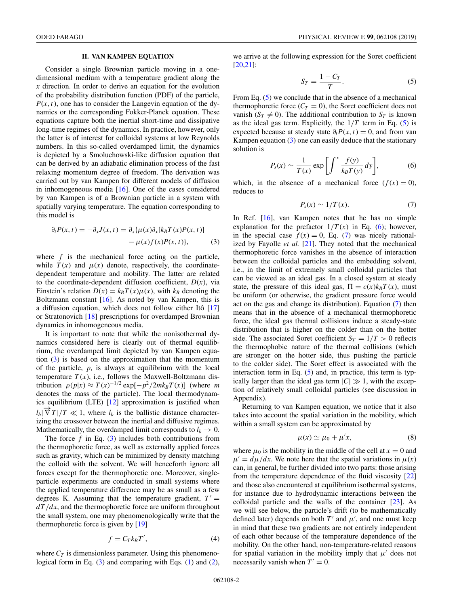# **II. VAN KAMPEN EQUATION**

<span id="page-1-0"></span>Consider a single Brownian particle moving in a onedimensional medium with a temperature gradient along the *x* direction. In order to derive an equation for the evolution of the probability distribution function (PDF) of the particle,  $P(x, t)$ , one has to consider the Langevin equation of the dynamics or the corresponding Fokker-Planck equation. These equations capture both the inertial short-time and dissipative long-time regimes of the dynamics. In practice, however, only the latter is of interest for colloidal systems at low Reynolds numbers. In this so-called overdamped limit, the dynamics is depicted by a Smoluchowski-like diffusion equation that can be derived by an adiabatic elimination process of the fast relaxing momentum degree of freedom. The derivation was carried out by van Kampen for different models of diffusion in inhomogeneous media  $[16]$ . One of the cases considered by van Kampen is of a Brownian particle in a system with spatially varying temperature. The equation corresponding to this model is

$$
\partial_t P(x,t) = -\partial_x J(x,t) = \partial_x \{ \mu(x) \partial_x [k_B T(x) P(x,t)] - \mu(x) f(x) P(x,t) \},\tag{3}
$$

where *f* is the mechanical force acting on the particle, while  $T(x)$  and  $\mu(x)$  denote, respectively, the coordinatedependent temperature and mobility. The latter are related to the coordinate-dependent diffusion coefficient,  $D(x)$ , via Einstein's relation  $D(x) = k_B T(x) \mu(x)$ , with  $k_B$  denoting the Boltzmann constant  $[16]$ . As noted by van Kampen, this is a diffusion equation, which does not follow either Itô [\[17\]](#page-5-0) or Stratonovich [\[18\]](#page-5-0) prescriptions for overdamped Brownian dynamics in inhomogeneous media.

It is important to note that while the nonisothermal dynamics considered here is clearly out of thermal equilibrium, the overdamped limit depicted by van Kampen equation  $(3)$  is based on the approximation that the momentum of the particle, *p*, is always at equilibrium with the local temperature  $T(x)$ , i.e., follows the Maxwell-Boltzmann distribution  $\rho(p|x) \approx T(x)^{-1/2} \exp[-p^2/2mk_BT(x)]$  (where *m* denotes the mass of the particle). The local thermodynamics equilibrium (LTE) [\[12\]](#page-5-0) approximation is justified when  $l_b$ | $\vec{\nabla}$  *T*|/*T*  $\ll$  1, where  $l_b$  is the ballistic distance characterizing the crossover between the inertial and diffusive regimes. Mathematically, the overdamped limit corresponds to  $l_b \rightarrow 0$ .

The force  $f$  in Eq. (3) includes both contributions from the thermophoretic force, as well as externally applied forces such as gravity, which can be minimized by density matching the colloid with the solvent. We will henceforth ignore all forces except for the thermophoretic one. Moreover, singleparticle experiments are conducted in small systems where the applied temperature difference may be as small as a few degrees K. Assuming that the temperature gradient,  $T' =$ *dT*/*dx*, and the thermophoretic force are uniform throughout the small system, one may phenomenologically write that the thermophoretic force is given by [\[19\]](#page-5-0)

$$
f = C_T k_B T',\tag{4}
$$

where  $C_T$  is dimensionless parameter. Using this phenomeno-logical form in Eq. (3) and comparing with Eqs. [\(1\)](#page-0-0) and [\(2\)](#page-0-0),

we arrive at the following expression for the Soret coefficient [\[20,21\]](#page-5-0):

$$
S_T = \frac{1 - C_T}{T}.\tag{5}
$$

From Eq. (5) we conclude that in the absence of a mechanical thermophoretic force  $(C_T = 0)$ , the Soret coefficient does not vanish  $(S_T \neq 0)$ . The additional contribution to  $S_T$  is known as the ideal gas term. Explicitly, the  $1/T$  term in Eq. (5) is expected because at steady state  $\partial_t P(x, t) = 0$ , and from van Kampen equation (3) one can easily deduce that the stationary solution is

$$
P_s(x) \sim \frac{1}{T(x)} \exp\left[\int^x \frac{f(y)}{k_B T(y)} dy\right],\tag{6}
$$

which, in the absence of a mechanical force  $(f(x) = 0)$ , reduces to

$$
P_s(x) \sim 1/T(x). \tag{7}
$$

In Ref. [\[16\]](#page-5-0), van Kampen notes that he has no simple explanation for the prefactor  $1/T(x)$  in Eq. (6); however, in the special case  $f(x) = 0$ , Eq. (7) was nicely rationalized by Fayolle *et al.* [\[21\]](#page-5-0). They noted that the mechanical thermophoretic force vanishes in the absence of interaction between the colloidal particles and the embedding solvent, i.e., in the limit of extremely small colloidal particles that can be viewed as an ideal gas. In a closed system at steady state, the pressure of this ideal gas,  $\Pi = c(x)k_BT(x)$ , must be uniform (or otherwise, the gradient pressure force would act on the gas and change its distribution). Equation  $(7)$  then means that in the absence of a mechanical thermophoretic force, the ideal gas thermal collisions induce a steady-state distribution that is higher on the colder than on the hotter side. The associated Soret coefficient  $S_T = 1/T > 0$  reflects the thermophobic nature of the thermal collisions (which are stronger on the hotter side, thus pushing the particle to the colder side). The Soret effect is associated with the interaction term in Eq.  $(5)$  and, in practice, this term is typically larger than the ideal gas term  $|C| \gg 1$ , with the exception of relatively small colloidal particles (see discussion in Appendix).

Returning to van Kampen equation, we notice that it also takes into account the spatial variation in the mobility, which within a small system can be approximated by

$$
\mu(x) \simeq \mu_0 + \mu' x,\tag{8}
$$

where  $\mu_0$  is the mobility in the middle of the cell at  $x = 0$  and  $\mu' = d\mu/dx$ . We note here that the spatial variations in  $\mu(x)$ can, in general, be further divided into two parts: those arising from the temperature dependence of the fluid viscosity [\[22\]](#page-5-0) and those also encountered at equilibrium isothermal systems, for instance due to hydrodynamic interactions between the colloidal particle and the walls of the container [\[23\]](#page-5-0). As we will see below, the particle's drift (to be mathematically defined later) depends on both  $T'$  and  $\mu'$ , and one must keep in mind that these two gradients are not entirely independent of each other because of the temperature dependence of the mobility. On the other hand, non-temperature-related reasons for spatial variation in the mobility imply that  $\mu'$  does not necessarily vanish when  $T' = 0$ .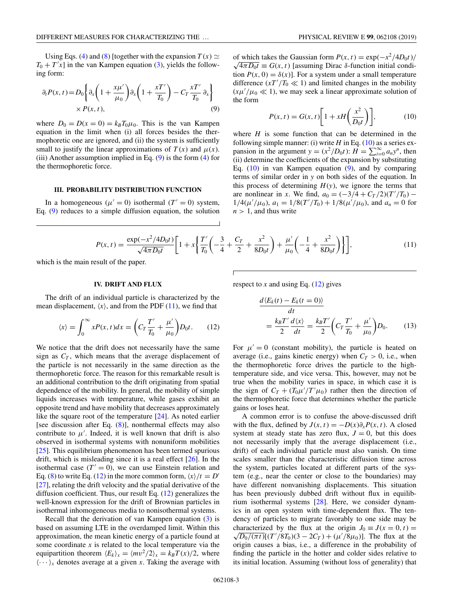<span id="page-2-0"></span>Using Eqs. [\(4\)](#page-1-0) and [\(8\)](#page-1-0) [together with the expansion  $T(x) \simeq$  $T_0 + T'x$ ] in the van Kampen equation [\(3\)](#page-1-0), yields the following form:

$$
\partial_t P(x, t) = D_0 \left\{ \partial_x \left( 1 + \frac{x\mu'}{\mu_0} \right) \partial_x \left( 1 + \frac{xT'}{T_0} \right) - C_T \frac{xT'}{T_0} \partial_x \right\} \times P(x, t), \tag{9}
$$

where  $D_0 = D(x = 0) = k_B T_0 \mu_0$ . This is the van Kampen equation in the limit when (i) all forces besides the thermophoretic one are ignored, and (ii) the system is sufficiently small to justify the linear approximations of  $T(x)$  and  $\mu(x)$ . (iii) Another assumption implied in Eq.  $(9)$  is the form  $(4)$  for the thermophoretic force.

#### **III. PROBABILITY DISTRIBUTION FUNCTION**

In a homogeneous ( $\mu' = 0$ ) isothermal ( $T' = 0$ ) system, Eq. (9) reduces to a simple diffusion equation, the solution

of which takes the Gaussian form  $P(x, t) = \exp(-x^2/4D_0t)$  $\sqrt{4\pi D_0 t} \equiv G(x, t)$  [assuming Dirac  $\delta$ -function initial condition  $P(x, 0) = \delta(x)$ . For a system under a small temperature

difference  $(xT'/T_0 \ll 1)$  and limited changes in the mobility

$$
(x\mu'/\mu_0 \ll 1)
$$
, we may seek a linear approximate solution of  
the form  

$$
P(x, t) = G(x, t) \left[1 + xH\left(\frac{x^2}{D_0 t}\right)\right],
$$
(10)

where *H* is some function that can be determined in the following simple manner: (i) write  $H$  in Eq. (10) as a series expansion in the argument  $y = (x^2/D_0t)$ :  $H = \sum_{i=0}^{\infty} a_n y^n$ , then (ii) determine the coefficients of the expansion by substituting Eq.  $(10)$  in van Kampen equation  $(9)$ , and by comparing terms of similar order in *y* on both sides of the equation. In this process of determining  $H(y)$ , we ignore the terms that are nonlinear in *x*. We find,  $a_0 = (-3/4 + C_T/2)(T'/T_0)$  –  $1/4(\mu'/\mu_0)$ ,  $a_1 = 1/8(T'/T_0) + 1/8(\mu'/\mu_0)$ , and  $a_n = 0$  for  $n > 1$ , and thus write

$$
P(x,t) = \frac{\exp(-x^2/4D_0t)}{\sqrt{4\pi D_0t}} \left[ 1 + x \left\{ \frac{T'}{T_0} \left( -\frac{3}{4} + \frac{C_T}{2} + \frac{x^2}{8D_0t} \right) + \frac{\mu'}{\mu_0} \left( -\frac{1}{4} + \frac{x^2}{8D_0t} \right) \right\} \right],\tag{11}
$$

the form

which is the main result of the paper.

#### **IV. DRIFT AND FLUX**

The drift of an individual particle is characterized by the mean displacement,  $\langle x \rangle$ , and from the PDF (11), we find that

$$
\langle x \rangle = \int_0^\infty x P(x, t) dx = \left( C_T \frac{T'}{T_0} + \frac{\mu'}{\mu_0} \right) D_0 t. \tag{12}
$$

We notice that the drift does not necessarily have the same sign as  $C_T$ , which means that the average displacement of the particle is not necessarily in the same direction as the thermophoretic force. The reason for this remarkable result is an additional contribution to the drift originating from spatial dependence of the mobility. In general, the mobility of simple liquids increases with temperature, while gases exhibit an opposite trend and have mobility that decreases approximately like the square root of the temperature [\[24\]](#page-5-0). As noted earlier [see discussion after Eq. [\(8\)](#page-1-0)], nonthermal effects may also contribute to  $\mu'$ . Indeed, it is well known that drift is also observed in isothermal systems with nonuniform mobilities [\[25\]](#page-5-0). This equilibrium phenomenon has been termed spurious drift, which is misleading since it is a real effect [\[26\]](#page-5-0). In the isothermal case  $(T' = 0)$ , we can use Einstein relation and Eq. [\(8\)](#page-1-0) to write Eq. (12) in the more common form,  $\langle x \rangle / t = D'$ [\[27\]](#page-5-0), relating the drift velocity and the spatial derivative of the diffusion coefficient. Thus, our result Eq. (12) generalizes the well-known expression for the drift of Brownian particles in isothermal inhomogeneous media to nonisothermal systems.

Recall that the derivation of van Kampen equation [\(3\)](#page-1-0) is based on assuming LTE in the overdamped limit. Within this approximation, the mean kinetic energy of a particle found at some coordinate *x* is related to the local temperature via the equipartition theorem  $\langle E_k \rangle_x = \langle mv^2/2 \rangle_x = k_B T(x)/2$ , where  $\langle \cdots \rangle_{x}$  denotes average at a given *x*. Taking the average with

respect to *x* and using Eq.  $(12)$  gives

$$
\frac{d\langle E_k(t) - E_k(t=0)\rangle}{dt}
$$
\n
$$
= \frac{k_B T'}{2} \frac{d\langle x \rangle}{dt} = \frac{k_B T'}{2} \left( C_T \frac{T'}{T_0} + \frac{\mu'}{\mu_0} \right) D_0.
$$
\n(13)

For  $\mu' = 0$  (constant mobility), the particle is heated on average (i.e., gains kinetic energy) when  $C_T > 0$ , i.e., when the thermophoretic force drives the particle to the hightemperature side, and vice versa. This, however, may not be true when the mobility varies in space, in which case it is the sign of  $C_T + (T_0 \mu'/T'\mu_0)$  rather then the direction of the thermophoretic force that determines whether the particle gains or loses heat.

A common error is to confuse the above-discussed drift with the flux, defined by  $J(x, t) = -D(x)\partial_x P(x, t)$ . A closed system at steady state has zero flux,  $J = 0$ , but this does not necessarily imply that the average displacement (i.e., drift) of each individual particle must also vanish. On time scales smaller than the characteristic diffusion time across the system, particles located at different parts of the system (e.g., near the center or close to the boundaries) may have different nonvanishing displacements. This situation has been previously dubbed drift without flux in equilibrium isothermal systems [\[28\]](#page-5-0). Here, we consider dynamics in an open system with time-dependent flux. The tendency of particles to migrate favorably to one side may be characterized by the flux at the origin  $J_0 \equiv J(x = 0, t) =$  $\frac{D_0}{(\pi t)}[(T'/8T_0)(3 - 2C_T) + (\mu'/8\mu_0)]$ . The flux at the origin causes a bias, i.e., a difference in the probability of finding the particle in the hotter and colder sides relative to its initial location. Assuming (without loss of generality) that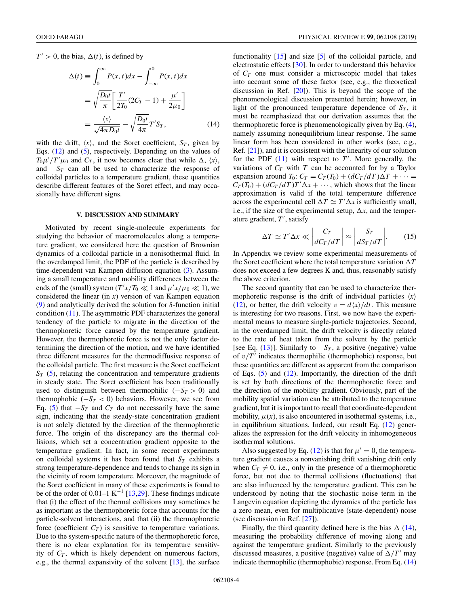<span id="page-3-0"></span> $T' > 0$ , the bias,  $\Delta(t)$ , is defined by

$$
\Delta(t) \equiv \int_0^\infty P(x, t) dx - \int_{-\infty}^0 P(x, t) dx
$$

$$
= \sqrt{\frac{D_0 t}{\pi}} \left[ \frac{T'}{2T_0} (2C_T - 1) + \frac{\mu'}{2\mu_0} \right]
$$

$$
= \frac{\langle x \rangle}{\sqrt{4\pi D_0 t}} - \sqrt{\frac{D_0 t}{4\pi}} T' S_T,
$$
(14)

with the drift,  $\langle x \rangle$ , and the Soret coefficient,  $S_T$ , given by Eqs. [\(12\)](#page-2-0) and [\(5\)](#page-1-0), respectively. Depending on the values of  $T_0 \mu'/T' \mu_0$  and  $C_T$ , it now becomes clear that while  $\Delta$ ,  $\langle x \rangle$ , and  $-S_T$  can all be used to characterize the response of colloidal particles to a temperature gradient, these quantities describe different features of the Soret effect, and may occasionally have different signs.

#### **V. DISCUSSION AND SUMMARY**

Motivated by recent single-molecule experiments for studying the behavior of macromolecules along a temperature gradient, we considered here the question of Brownian dynamics of a colloidal particle in a nonisothermal fluid. In the overdamped limit, the PDF of the particle is described by time-dependent van Kampen diffusion equation [\(3\)](#page-1-0). Assuming a small temperature and mobility differences between the ends of the (small) system ( $T'x/T_0 \ll 1$  and  $\mu'x/\mu_0 \ll 1$ ), we considered the linear (in *x*) version of van Kampen equation [\(9\)](#page-2-0) and analytically derived the solution for  $\delta$ -function initial condition [\(11\)](#page-2-0). The asymmetric PDF characterizes the general tendency of the particle to migrate in the direction of the thermophoretic force caused by the temperature gradient. However, the thermophoretic force is not the only factor determining the direction of the motion, and we have identified three different measures for the thermodiffusive response of the colloidal particle. The first measure is the Soret coefficient  $S_T$  [\(5\)](#page-1-0), relating the concentration and temperature gradients in steady state. The Soret coefficient has been traditionally used to distinguish between thermophilic  $(-S_T > 0)$  and thermophobic  $(-S_T < 0)$  behaviors. However, we see from Eq. [\(5\)](#page-1-0) that  $-S_T$  and  $C_T$  do not necessarily have the same sign, indicating that the steady-state concentration gradient is not solely dictated by the direction of the thermophoretic force. The origin of the discrepancy are the thermal collisions, which set a concentration gradient opposite to the temperature gradient. In fact, in some recent experiments on colloidal systems it has been found that  $S_T$  exhibits a strong temperature-dependence and tends to change its sign in the vicinity of room temperature. Moreover, the magnitude of the Soret coefficient in many of these experiments is found to be of the order of 0.01–1 K<sup>-1</sup> [\[13,29\]](#page-5-0). These findings indicate that (i) the effect of the thermal collisions may sometimes be as important as the thermophoretic force that accounts for the particle-solvent interactions, and that (ii) the thermophoretic force (coefficient  $C_T$ ) is sensitive to temperature variations. Due to the system-specific nature of the thermophoretic force, there is no clear explanation for its temperature sensitivity of  $C_T$ , which is likely dependent on numerous factors, e.g., the thermal expansivity of the solvent [\[13\]](#page-5-0), the surface

functionality [\[15\]](#page-5-0) and size [\[5\]](#page-5-0) of the colloidal particle, and electrostatic effects [\[30\]](#page-5-0). In order to understand this behavior of *CT* one must consider a microscopic model that takes into account some of these factor (see, e.g., the theoretical discussion in Ref.  $[20]$ . This is beyond the scope of the phenomenological discussion presented herein; however, in light of the pronounced temperature dependence of  $S_T$ , it must be reemphasized that our derivation assumes that the thermophoretic force is phenomenologically given by Eq. [\(4\)](#page-1-0), namely assuming nonequilibrium linear response. The same linear form has been considered in other works (see, e.g., Ref. [\[21\]](#page-5-0)), and it is consistent with the linearity of our solution for the PDF  $(11)$  with respect to  $T'$ . More generally, the variations of  $C_T$  with  $T$  can be accounted for by a Taylor expansion around  $T_0$ :  $C_T = C_T(T_0) + (dC_T/dT)\Delta T + \cdots$  $C_T(T_0) + (dC_T/dT)T'\Delta x + \cdots$ , which shows that the linear approximation is valid if the total temperature difference across the experimental cell  $\Delta T \simeq T' \Delta x$  is sufficiently small, i.e., if the size of the experimental setup,  $\Delta x$ , and the temperature gradient, T', satisfy

$$
\Delta T \simeq T' \Delta x \ll \left| \frac{C_T}{dC_T/dT} \right| \approx \left| \frac{S_T}{dS_T/dT} \right|.
$$
 (15)

In Appendix we review some experimental measurements of the Soret coefficient where the total temperature variation  $\Delta T$ does not exceed a few degrees K and, thus, reasonably satisfy the above criterion.

The second quantity that can be used to characterize thermophoretic response is the drift of individual particles  $\langle x \rangle$ [\(12\)](#page-2-0), or better, the drift velocity  $v = d\langle x \rangle / dt$ . This measure is interesting for two reasons. First, we now have the experimental means to measure single-particle trajectories. Second, in the overdamped limit, the drift velocity is directly related to the rate of heat taken from the solvent by the particle [see Eq. [\(13\)](#page-2-0)]. Similarly to  $-S_T$ , a positive (negative) value of  $v/T'$  indicates thermophilic (thermophobic) response, but these quantities are different as apparent from the comparison of Eqs.  $(5)$  and  $(12)$ . Importantly, the direction of the drift is set by both directions of the thermophoretic force and the direction of the mobility gradient. Obviously, part of the mobility spatial variation can be attributed to the temperature gradient, but it is important to recall that coordinate-dependent mobility,  $\mu(x)$ , is also encountered in isothermal systems, i.e., in equilibrium situations. Indeed, our result Eq. [\(12\)](#page-2-0) generalizes the expression for the drift velocity in inhomogeneous isothermal solutions.

Also suggested by Eq. [\(12\)](#page-2-0) is that for  $\mu' = 0$ , the temperature gradient causes a nonvanishing drift vanishing drift only when  $C_T \neq 0$ , i.e., only in the presence of a thermophoretic force, but not due to thermal collisions (fluctuations) that are also influenced by the temperature gradient. This can be understood by noting that the stochastic noise term in the Langevin equation depicting the dynamics of the particle has a zero mean, even for multiplicative (state-dependent) noise (see discussion in Ref. [\[27\]](#page-5-0)).

Finally, the third quantity defined here is the bias  $\Delta$  (14), measuring the probability difference of moving along and against the temperature gradient. Similarly to the previously discussed measures, a positive (negative) value of  $\Delta/T'$  may indicate thermophilic (thermophobic) response. From Eq. (14)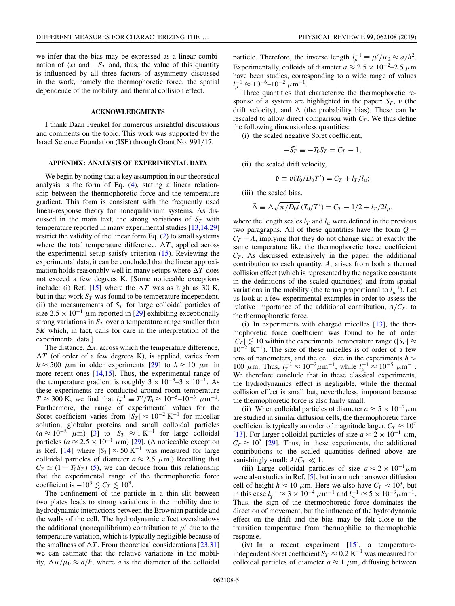we infer that the bias may be expressed as a linear combination of  $\langle x \rangle$  and  $-S_T$  and, thus, the value of this quantity is influenced by all three factors of asymmetry discussed in the work, namely the thermophoretic force, the spatial dependence of the mobility, and thermal collision effect.

# **ACKNOWLEDGMENTS**

I thank Daan Frenkel for numerous insightful discussions and comments on the topic. This work was supported by the Israel Science Foundation (ISF) through Grant No. 991/17.

# **APPENDIX: ANALYSIS OF EXPERIMENTAL DATA**

We begin by noting that a key assumption in our theoretical analysis is the form of Eq. [\(4\)](#page-1-0), stating a linear relationship between the thermophoretic force and the temperature gradient. This form is consistent with the frequently used linear-response theory for nonequilibrium systems. As discussed in the main text, the strong variations of  $S_T$  with temperature reported in many experimental studies [\[13,14,29\]](#page-5-0) restrict the validity of the linear form Eq. [\(2\)](#page-0-0) to small systems where the total temperature difference,  $\Delta T$ , applied across the experimental setup satisfy criterion [\(15\)](#page-3-0). Reviewing the experimental data, it can be concluded that the linear approximation holds reasonably well in many setups where  $\Delta T$  does not exceed a few degrees K. [Some noticeable exceptions include: (i) Ref. [\[15\]](#page-5-0) where the  $\Delta T$  was as high as 30 K, but in that work  $S_T$  was found to be temperature independent. (ii) the measurements of  $S_T$  for large colloidal particles of size  $2.5 \times 10^{-1}$  µm reported in [\[29\]](#page-5-0) exhibiting exceptionally strong variations in  $S_T$  over a temperature range smaller than 5*K* which, in fact, calls for care in the interpretation of the experimental data.]

The distance,  $\Delta x$ , across which the temperature difference,  $\Delta T$  (of order of a few degrees K), is applied, varies from  $h \approx 500 \mu$ m in older experiments [\[29\]](#page-5-0) to  $h \approx 10 \mu$ m in more recent ones [\[14,15\]](#page-5-0). Thus, the experimental range of the temperature gradient is roughly  $3 \times 10^{-3}$ – $3 \times 10^{-1}$ . As these experiments are conducted around room temperature  $T \approx 300 \text{ K}$ , we find that  $l_T^{-1} \equiv T'/T_0 \approx 10^{-5} - 10^{-3} \mu \text{m}^{-1}$ . Furthermore, the range of experimental values for the Soret coefficient varies from  $|S_T| \approx 10^{-2} \text{ K}^{-1}$  for micellar solution, globular proteins and small colloidal particles  $(a \approx 10^{-2} \mu m)$  [\[3\]](#page-5-0) to  $|S_T| \approx 1 \text{ K}^{-1}$  for large colloidal particles ( $a \approx 2.5 \times 10^{-1} \mu$ m) [\[29\]](#page-5-0). (A noticeable exception is Ref. [\[14\]](#page-5-0) where  $|S_T| \approx 50 \text{ K}^{-1}$  was measured for large colloidal particles of diameter  $a \approx 2.5 \mu$ m.) Recalling that  $C_T \simeq (1 - T_0 S_T)$  [\(5\)](#page-1-0), we can deduce from this relationship that the experimental range of the thermophoretic force coefficient is  $-10^3 \lesssim C_T \lesssim 10^3$ .

The confinement of the particle in a thin slit between two plates leads to strong variations in the mobility due to hydrodynamic interactions between the Brownian particle and the walls of the cell. The hydrodynamic effect overshadows the additional (nonequilibrium) contribution to  $\mu'$  due to the temperature variation, which is typically negligible because of the smallness of  $\Delta T$ . From theoretical considerations [\[23,31\]](#page-5-0) we can estimate that the relative variations in the mobility,  $\Delta \mu / \mu_0 \approx a/h$ , where *a* is the diameter of the colloidal

particle. Therefore, the inverse length  $l_{\mu}^{-1} \equiv \mu'/\mu_0 \approx a/h^2$ . Experimentally, colloids of diameter  $a \approx 2.5 \times 10^{-2} - 2.5 \mu m$ have been studies, corresponding to a wide range of values  $l_{\mu}^{-1} \approx 10^{-6} - 10^{-2} \ \mu m^{-1}.$ 

Three quantities that characterize the thermophoretic response of a system are highlighted in the paper:  $S_T$ ,  $v$  (the drift velocity), and  $\Delta$  (the probability bias). These can be rescaled to allow direct comparison with  $C_T$ . We thus define the following dimensionless quantities:

(i) the scaled negative Soret coefficient,

$$
-\tilde{S_T} \equiv -T_0 S_T = C_T - 1;
$$

(ii) the scaled drift velocity,

$$
\tilde{v} \equiv v(T_0/D_0T') = C_T + l_T/l_\mu;
$$

(iii) the scaled bias,

$$
\tilde{\Delta} \equiv \Delta \sqrt{\pi / D_0 t} \left( T_0 / T' \right) = C_T - 1/2 + l_T / 2l_\mu,
$$

where the length scales  $l_T$  and  $l_\mu$  were defined in the previous two paragraphs. All of these quantities have the form  $Q =$  $C_T + A$ , implying that they do not change sign at exactly the same temperature like the thermophoretic force coefficient  $C_T$ . As discussed extensively in the paper, the additional contribution to each quantity, *A*, arises from both a thermal collision effect (which is represented by the negative constants in the definitions of the scaled quantities) and from spatial variations in the mobility (the terms proportional to  $l_{\mu}^{-1}$ ). Let us look at a few experimental examples in order to assess the relative importance of the additional contribution,  $A/C_T$ , to the thermophoretic force.

(i) In experiments with charged micelles  $[13]$ , the thermophoretic force coefficient was found to be of order  $|C_T| \lesssim 10$  within the experimental temperature range ( $|S_T| \approx$  $10^{-2}$  K<sup>-1</sup>). The size of these micelles is of order of a few tens of nanometers, and the cell size in the experiments *h* > 100 μm. Thus,  $l_T^{-1}$  ≈ 10<sup>-2</sup>μm<sup>-1</sup>, while  $l_{\mu}^{-1}$  ≈ 10<sup>-5</sup> μm<sup>-1</sup>. We therefore conclude that in these classical experiments, the hydrodynamics effect is negligible, while the thermal collision effect is small but, nevertheless, important because the thermophoretic force is also fairly small.

(ii) When colloidal particles of diameter  $a \approx 5 \times 10^{-2} \mu$ m are studied in similar diffusion cells, the thermophoretic force coefficient is typically an order of magnitude larger,  $C_T \approx 10^2$ [\[13\]](#page-5-0). For larger colloidal particles of size  $a \approx 2 \times 10^{-1} \mu \text{m}$ ,  $C_T \approx 10^3$  [\[29\]](#page-5-0). Thus, in these experiments, the additional contributions to the scaled quantities defined above are vanishingly small:  $A/C_T \ll 1$ .

(iii) Large colloidal particles of size  $a \approx 2 \times 10^{-1} \mu m$ were also studies in Ref. [\[5\]](#page-5-0), but in a much narrower diffusion cell of height  $h \approx 10 \ \mu \text{m}$ . Here we also have  $C_T \approx 10^3$ , but in this case  $l_T^{-1} \approx 3 \times 10^{-4} \ \mu m^{-1}$  and  $l_\mu^{-1} \approx 5 \times 10^{-3} \mu m^{-1}$ . Thus, the sign of the thermophoretic force dominates the direction of movement, but the influence of the hydrodynamic effect on the drift and the bias may be felt close to the transition temperature from thermophilic to thermophobic response.

(iv) In a recent experiment [\[15\]](#page-5-0), a temperatureindependent Soret coefficient  $S_T \approx 0.2 \text{ K}^{-1}$  was measured for colloidal particles of diameter  $a \approx 1 \mu m$ , diffusing between